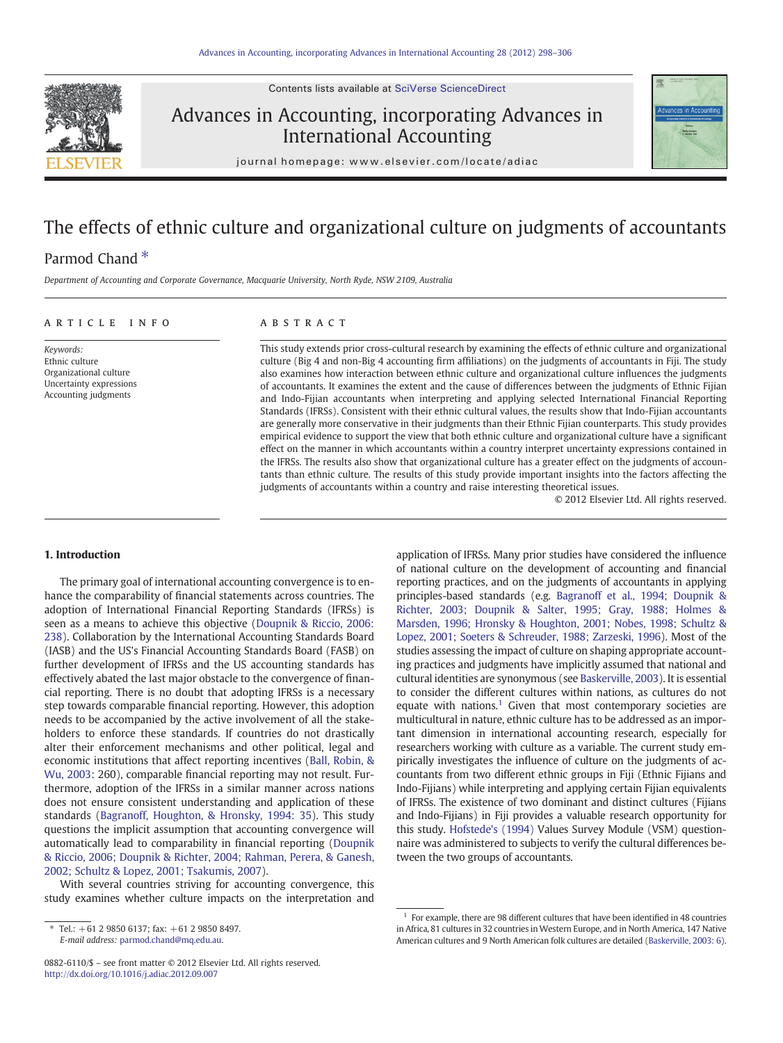Contents lists available at [SciVerse ScienceDirect](http://www.sciencedirect.com/science/journal/08826110)



# Advances in Accounting, incorporating Advances in International Accounting



journal homepage: www.elsevier.com/locate/adiac

# The effects of ethnic culture and organizational culture on judgments of accountants

## Parmod Chand<sup>\*</sup>

Department of Accounting and Corporate Governance, Macquarie University, North Ryde, NSW 2109, Australia

#### article info abstract

Keywords: Ethnic culture Organizational culture Uncertainty expressions Accounting judgments

This study extends prior cross-cultural research by examining the effects of ethnic culture and organizational culture (Big 4 and non-Big 4 accounting firm affiliations) on the judgments of accountants in Fiji. The study also examines how interaction between ethnic culture and organizational culture influences the judgments of accountants. It examines the extent and the cause of differences between the judgments of Ethnic Fijian and Indo-Fijian accountants when interpreting and applying selected International Financial Reporting Standards (IFRSs). Consistent with their ethnic cultural values, the results show that Indo-Fijian accountants are generally more conservative in their judgments than their Ethnic Fijian counterparts. This study provides empirical evidence to support the view that both ethnic culture and organizational culture have a significant effect on the manner in which accountants within a country interpret uncertainty expressions contained in the IFRSs. The results also show that organizational culture has a greater effect on the judgments of accountants than ethnic culture. The results of this study provide important insights into the factors affecting the judgments of accountants within a country and raise interesting theoretical issues.

© 2012 Elsevier Ltd. All rights reserved.

#### 1. Introduction

The primary goal of international accounting convergence is to enhance the comparability of financial statements across countries. The adoption of International Financial Reporting Standards (IFRSs) is seen as a means to achieve this objective ([Doupnik & Riccio, 2006:](#page--1-0) [238](#page--1-0)). Collaboration by the International Accounting Standards Board (IASB) and the US's Financial Accounting Standards Board (FASB) on further development of IFRSs and the US accounting standards has effectively abated the last major obstacle to the convergence of financial reporting. There is no doubt that adopting IFRSs is a necessary step towards comparable financial reporting. However, this adoption needs to be accompanied by the active involvement of all the stakeholders to enforce these standards. If countries do not drastically alter their enforcement mechanisms and other political, legal and economic institutions that affect reporting incentives ([Ball, Robin, &](#page--1-0) [Wu, 2003](#page--1-0): 260), comparable financial reporting may not result. Furthermore, adoption of the IFRSs in a similar manner across nations does not ensure consistent understanding and application of these standards [\(Bagranoff, Houghton, & Hronsky, 1994: 35](#page--1-0)). This study questions the implicit assumption that accounting convergence will automatically lead to comparability in financial reporting ([Doupnik](#page--1-0) [& Riccio, 2006; Doupnik & Richter, 2004; Rahman, Perera, & Ganesh,](#page--1-0) [2002; Schultz & Lopez, 2001; Tsakumis, 2007\)](#page--1-0).

With several countries striving for accounting convergence, this study examines whether culture impacts on the interpretation and

E-mail address: [parmod.chand@mq.edu.au.](mailto:parmod.chand@mq.edu.au)

application of IFRSs. Many prior studies have considered the influence of national culture on the development of accounting and financial reporting practices, and on the judgments of accountants in applying principles-based standards (e.g. [Bagranoff et al., 1994; Doupnik &](#page--1-0) [Richter, 2003; Doupnik & Salter, 1995; Gray, 1988; Holmes &](#page--1-0) [Marsden, 1996; Hronsky & Houghton, 2001; Nobes, 1998; Schultz &](#page--1-0) [Lopez, 2001; Soeters & Schreuder, 1988; Zarzeski, 1996\)](#page--1-0). Most of the studies assessing the impact of culture on shaping appropriate accounting practices and judgments have implicitly assumed that national and cultural identities are synonymous (see [Baskerville, 2003](#page--1-0)). It is essential to consider the different cultures within nations, as cultures do not equate with nations.<sup>1</sup> Given that most contemporary societies are multicultural in nature, ethnic culture has to be addressed as an important dimension in international accounting research, especially for researchers working with culture as a variable. The current study empirically investigates the influence of culture on the judgments of accountants from two different ethnic groups in Fiji (Ethnic Fijians and Indo-Fijians) while interpreting and applying certain Fijian equivalents of IFRSs. The existence of two dominant and distinct cultures (Fijians and Indo-Fijians) in Fiji provides a valuable research opportunity for this study. [Hofstede's \(1994\)](#page--1-0) Values Survey Module (VSM) questionnaire was administered to subjects to verify the cultural differences between the two groups of accountants.

 $*$  Tel.:  $+61$  2 9850 6137; fax:  $+61$  2 9850 8497.

<sup>0882-6110/\$</sup> – see front matter © 2012 Elsevier Ltd. All rights reserved. <http://dx.doi.org/10.1016/j.adiac.2012.09.007>

 $1$  For example, there are 98 different cultures that have been identified in 48 countries in Africa, 81 cultures in 32 countries in Western Europe, and in North America, 147 Native American cultures and 9 North American folk cultures are detailed [\(Baskerville, 2003: 6\)](#page--1-0).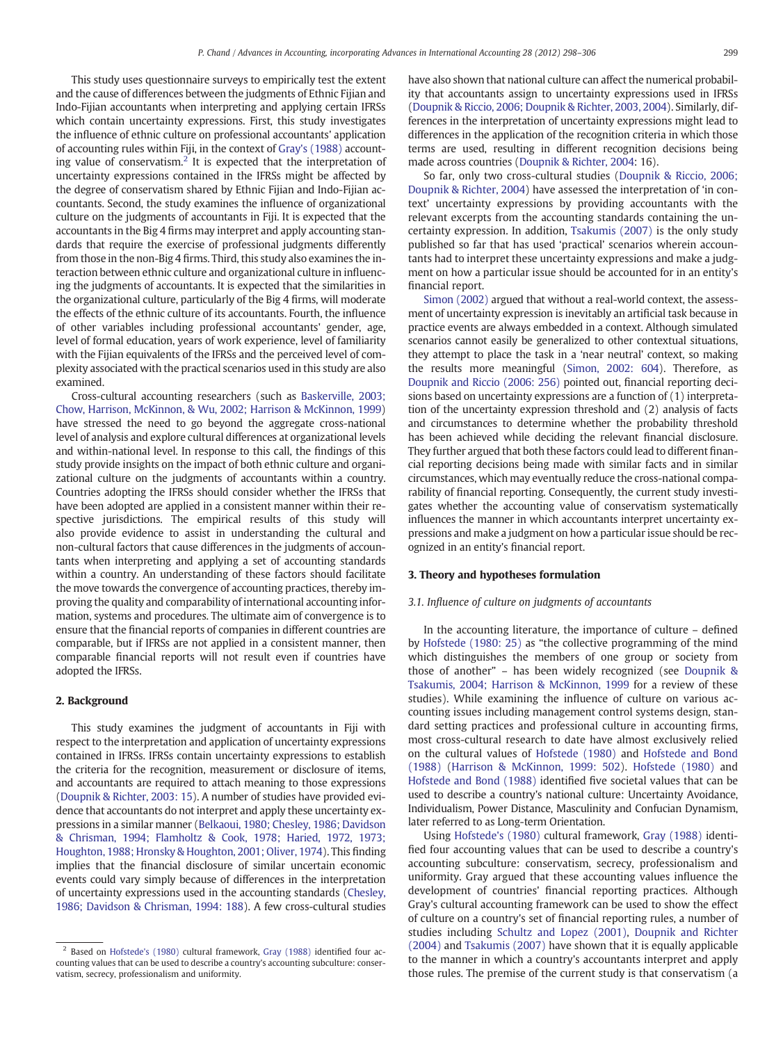This study uses questionnaire surveys to empirically test the extent and the cause of differences between the judgments of Ethnic Fijian and Indo-Fijian accountants when interpreting and applying certain IFRSs which contain uncertainty expressions. First, this study investigates the influence of ethnic culture on professional accountants' application of accounting rules within Fiji, in the context of [Gray's \(1988\)](#page--1-0) accounting value of conservatism.<sup>2</sup> It is expected that the interpretation of uncertainty expressions contained in the IFRSs might be affected by the degree of conservatism shared by Ethnic Fijian and Indo-Fijian accountants. Second, the study examines the influence of organizational culture on the judgments of accountants in Fiji. It is expected that the accountants in the Big 4 firms may interpret and apply accounting standards that require the exercise of professional judgments differently from those in the non-Big 4 firms. Third, this study also examines the interaction between ethnic culture and organizational culture in influencing the judgments of accountants. It is expected that the similarities in the organizational culture, particularly of the Big 4 firms, will moderate the effects of the ethnic culture of its accountants. Fourth, the influence of other variables including professional accountants' gender, age, level of formal education, years of work experience, level of familiarity with the Fijian equivalents of the IFRSs and the perceived level of complexity associated with the practical scenarios used in this study are also examined.

Cross-cultural accounting researchers (such as [Baskerville, 2003;](#page--1-0) [Chow, Harrison, McKinnon, & Wu, 2002; Harrison & McKinnon, 1999](#page--1-0)) have stressed the need to go beyond the aggregate cross-national level of analysis and explore cultural differences at organizational levels and within-national level. In response to this call, the findings of this study provide insights on the impact of both ethnic culture and organizational culture on the judgments of accountants within a country. Countries adopting the IFRSs should consider whether the IFRSs that have been adopted are applied in a consistent manner within their respective jurisdictions. The empirical results of this study will also provide evidence to assist in understanding the cultural and non-cultural factors that cause differences in the judgments of accountants when interpreting and applying a set of accounting standards within a country. An understanding of these factors should facilitate the move towards the convergence of accounting practices, thereby improving the quality and comparability of international accounting information, systems and procedures. The ultimate aim of convergence is to ensure that the financial reports of companies in different countries are comparable, but if IFRSs are not applied in a consistent manner, then comparable financial reports will not result even if countries have adopted the IFRSs.

### 2. Background

This study examines the judgment of accountants in Fiji with respect to the interpretation and application of uncertainty expressions contained in IFRSs. IFRSs contain uncertainty expressions to establish the criteria for the recognition, measurement or disclosure of items, and accountants are required to attach meaning to those expressions [\(Doupnik & Richter, 2003: 15](#page--1-0)). A number of studies have provided evidence that accountants do not interpret and apply these uncertainty expressions in a similar manner [\(Belkaoui, 1980; Chesley, 1986; Davidson](#page--1-0) [& Chrisman, 1994; Flamholtz & Cook, 1978; Haried, 1972, 1973;](#page--1-0) [Houghton, 1988; Hronsky & Houghton, 2001; Oliver, 1974](#page--1-0)). This finding implies that the financial disclosure of similar uncertain economic events could vary simply because of differences in the interpretation of uncertainty expressions used in the accounting standards [\(Chesley,](#page--1-0) [1986; Davidson & Chrisman, 1994: 188](#page--1-0)). A few cross-cultural studies

have also shown that national culture can affect the numerical probability that accountants assign to uncertainty expressions used in IFRSs [\(Doupnik & Riccio, 2006; Doupnik & Richter, 2003, 2004](#page--1-0)). Similarly, differences in the interpretation of uncertainty expressions might lead to differences in the application of the recognition criteria in which those terms are used, resulting in different recognition decisions being made across countries [\(Doupnik & Richter, 2004](#page--1-0): 16).

So far, only two cross-cultural studies [\(Doupnik & Riccio, 2006;](#page--1-0) [Doupnik & Richter, 2004\)](#page--1-0) have assessed the interpretation of 'in context' uncertainty expressions by providing accountants with the relevant excerpts from the accounting standards containing the uncertainty expression. In addition, [Tsakumis \(2007\)](#page--1-0) is the only study published so far that has used 'practical' scenarios wherein accountants had to interpret these uncertainty expressions and make a judgment on how a particular issue should be accounted for in an entity's financial report.

[Simon \(2002\)](#page--1-0) argued that without a real-world context, the assessment of uncertainty expression is inevitably an artificial task because in practice events are always embedded in a context. Although simulated scenarios cannot easily be generalized to other contextual situations, they attempt to place the task in a 'near neutral' context, so making the results more meaningful ([Simon, 2002: 604](#page--1-0)). Therefore, as [Doupnik and Riccio \(2006: 256\)](#page--1-0) pointed out, financial reporting decisions based on uncertainty expressions are a function of (1) interpretation of the uncertainty expression threshold and (2) analysis of facts and circumstances to determine whether the probability threshold has been achieved while deciding the relevant financial disclosure. They further argued that both these factors could lead to different financial reporting decisions being made with similar facts and in similar circumstances, which may eventually reduce the cross-national comparability of financial reporting. Consequently, the current study investigates whether the accounting value of conservatism systematically influences the manner in which accountants interpret uncertainty expressions and make a judgment on how a particular issue should be recognized in an entity's financial report.

#### 3. Theory and hypotheses formulation

#### 3.1. Influence of culture on judgments of accountants

In the accounting literature, the importance of culture – defined by [Hofstede \(1980: 25\)](#page--1-0) as "the collective programming of the mind which distinguishes the members of one group or society from those of another" – has been widely recognized (see [Doupnik &](#page--1-0) [Tsakumis, 2004; Harrison & McKinnon, 1999](#page--1-0) for a review of these studies). While examining the influence of culture on various accounting issues including management control systems design, standard setting practices and professional culture in accounting firms, most cross-cultural research to date have almost exclusively relied on the cultural values of [Hofstede \(1980\)](#page--1-0) and [Hofstede and Bond](#page--1-0) [\(1988\)](#page--1-0) ([Harrison & McKinnon, 1999: 502\)](#page--1-0). [Hofstede \(1980\)](#page--1-0) and [Hofstede and Bond \(1988\)](#page--1-0) identified five societal values that can be used to describe a country's national culture: Uncertainty Avoidance, Individualism, Power Distance, Masculinity and Confucian Dynamism, later referred to as Long-term Orientation.

Using [Hofstede's \(1980\)](#page--1-0) cultural framework, [Gray \(1988\)](#page--1-0) identified four accounting values that can be used to describe a country's accounting subculture: conservatism, secrecy, professionalism and uniformity. Gray argued that these accounting values influence the development of countries' financial reporting practices. Although Gray's cultural accounting framework can be used to show the effect of culture on a country's set of financial reporting rules, a number of studies including [Schultz and Lopez \(2001\),](#page--1-0) [Doupnik and Richter](#page--1-0) [\(2004\)](#page--1-0) and [Tsakumis \(2007\)](#page--1-0) have shown that it is equally applicable to the manner in which a country's accountants interpret and apply those rules. The premise of the current study is that conservatism (a

<sup>&</sup>lt;sup>2</sup> Based on [Hofstede's \(1980\)](#page--1-0) cultural framework, [Gray \(1988\)](#page--1-0) identified four accounting values that can be used to describe a country's accounting subculture: conservatism, secrecy, professionalism and uniformity.